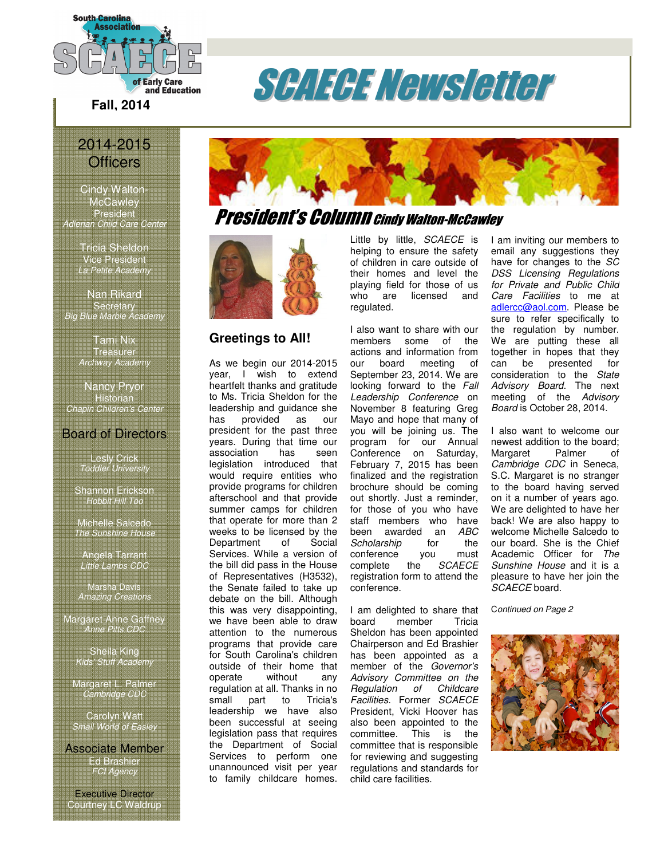

## 2014-2015 **Officers**

Cindy Walton-McCawley President Adlerian Child Care Center

> Tricia Sheldon Vice President La Petite Academy

Nan Rikard **Secretary** Big Blue Marble Academy

> Tami Nix Treasurer Archway Academy

Nancy Pryor Historian Chapin Children's Center

#### Board of Directors

Lesly Crick Toddler University

Shannon Erickson Hobbit Hill Too

Michelle Salcedo **The Sunshine Hous** 

Angela Tarrant Little Lambs CDC

Marsha Davis Amazing Creations

Margaret Anne Gaffney Anne Pitts CDC

> Sheila King Kids' Stuff Academy

Margaret L. Palmer Cambridge CDC

Carolyn Watt Small World of Easley

Associate Member Ed Brashier FCI Agency

Executive Director Courtney LC Waldrup





#### **Greetings to All!**

As we begin our 2014-2015 year, I wish to extend heartfelt thanks and gratitude to Ms. Tricia Sheldon for the leadership and guidance she<br>has provided as our has provided as our president for the past three years. During that time our association has seen legislation introduced that would require entities who provide programs for children afterschool and that provide summer camps for children that operate for more than 2 weeks to be licensed by the<br>Department of Social Department Services. While a version of the bill did pass in the House of Representatives (H3532), the Senate failed to take up debate on the bill. Although this was very disappointing, we have been able to draw attention to the numerous programs that provide care for South Carolina's children outside of their home that operate without any regulation at all. Thanks in no small part to Tricia's leadership we have also been successful at seeing legislation pass that requires the Department of Social Services to perform one unannounced visit per year to family childcare homes.

Little by little, SCAECE is helping to ensure the safety of children in care outside of their homes and level the playing field for those of us who are licensed and regulated.

I also want to share with our members some of the actions and information from our board meeting of September 23, 2014. We are looking forward to the Fall Leadership Conference on November 8 featuring Greg Mayo and hope that many of you will be joining us. The program for our Annual Conference on Saturday, February 7, 2015 has been finalized and the registration brochure should be coming out shortly. Just a reminder, for those of you who have staff members who have been awarded an ABC Scholarship for the conference you must<br>complete the SCAECE the SCAECE registration form to attend the conference.

I am delighted to share that<br>board member Tricia member Sheldon has been appointed Chairperson and Ed Brashier has been appointed as a member of the Governor's Advisory Committee on the Regulation of Childcare Facilities. Former SCAECE President, Vicki Hoover has also been appointed to the<br>committee. This is the committee. committee that is responsible for reviewing and suggesting regulations and standards for child care facilities.

I am inviting our members to email any suggestions they have for changes to the SC DSS Licensing Regulations for Private and Public Child Care Facilities to me at adlercc@aol.com. Please be sure to refer specifically to the regulation by number. We are putting these all together in hopes that they can be presented for consideration to the State Advisory Board. The next meeting of the Advisory Board is October 28, 2014.

I also want to welcome our newest addition to the board;<br>Margaret Palmer of Margaret Cambridge CDC in Seneca, S.C. Margaret is no stranger to the board having served on it a number of years ago. We are delighted to have her back! We are also happy to welcome Michelle Salcedo to our board. She is the Chief Academic Officer for The Sunshine House and it is a pleasure to have her join the SCAECE board.

Continued on Page 2

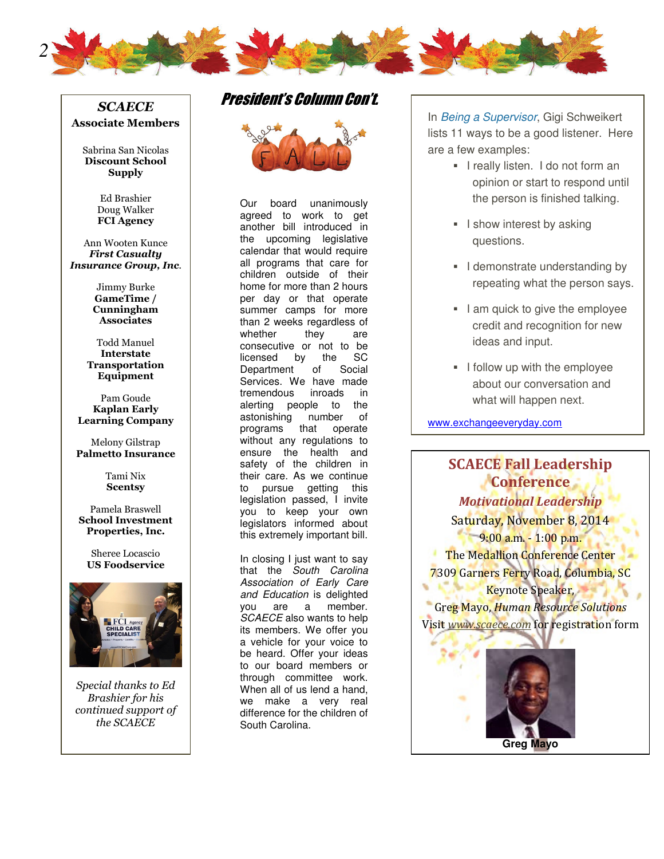

#### **SCAECE** Associate Members

Sabrina San Nicolas Discount School **Supply** 

> Ed Brashier Doug Walker FCI Agency

Ann Wooten Kunce First Casualty Insurance Group, Inc.

> Jimmy Burke GameTime / Cunningham **Associates**

Todd Manuel Interstate Transportation Equipment

Pam Goude Kaplan Early Learning Company

Melony Gilstrap Palmetto Insurance

> Tami Nix **Scentsy**

Pamela Braswell School Investment Properties, Inc.

Sheree Locascio US Foodservice



Special thanks to Ed Brashier for his continued support of the SCAECE

## President's Column Con't.



Our board unanimously agreed to work to get another bill introduced in the upcoming legislative calendar that would require all programs that care for children outside of their home for more than 2 hours per day or that operate summer camps for more than 2 weeks regardless of<br>whether they are whether they are consecutive or not to be<br>licensed by the SC licensed by the SC Department of Social Services. We have made tremendous inroads in alerting people to the<br>astonishing number of astonishing number of programs that operate without any regulations to ensure the health and safety of the children in their care. As we continue to pursue getting this legislation passed, I invite you to keep your own legislators informed about this extremely important bill.

In closing I just want to say that the South Carolina Association of Early Care and Education is delighted you are a member. SCAECE also wants to help its members. We offer you a vehicle for your voice to be heard. Offer your ideas to our board members or through committee work. When all of us lend a hand, we make a very real difference for the children of South Carolina.

In Being a Supervisor, Gigi Schweikert lists 11 ways to be a good listener. Here are a few examples:

- **I** really listen. I do not form an opinion or start to respond until the person is finished talking.
- **I** I show interest by asking questions.
- **I** demonstrate understanding by repeating what the person says.
- I am quick to give the employee credit and recognition for new ideas and input.
- **I** follow up with the employee about our conversation and what will happen next.

www.exchangeeveryday.com

## SCAECE Fall Leadership Conference. Motivational Leadership

Saturday, November 8, 2014  $-9.00$  a.m.  $-1:00$  p.m. The Medallion Conference Center 7309 Garners Ferry Road, Columbia, SC Keynote Speaker,

Greg Mayo, Human Resource Solutions Visit www.scaece.com for registration form